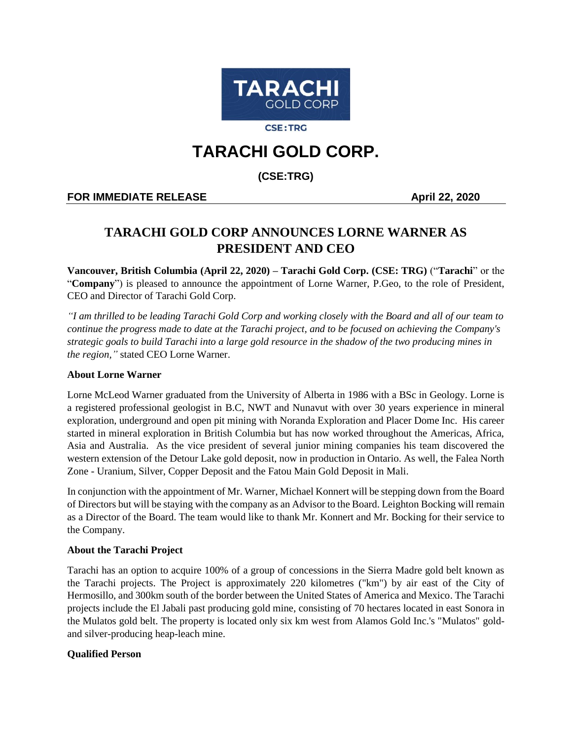

**CSE:TRG** 

# **TARACHI GOLD CORP.**

### **(CSE:TRG)**

#### **FOR IMMEDIATE RELEASE April 22, 2020**

## **TARACHI GOLD CORP ANNOUNCES LORNE WARNER AS PRESIDENT AND CEO**

**Vancouver, British Columbia (April 22, 2020) – Tarachi Gold Corp. (CSE: TRG)** ("**Tarachi**" or the "**Company**") is pleased to announce the appointment of Lorne Warner, P.Geo, to the role of President, CEO and Director of Tarachi Gold Corp.

*"I am thrilled to be leading Tarachi Gold Corp and working closely with the Board and all of our team to continue the progress made to date at the Tarachi project, and to be focused on achieving the Company's strategic goals to build Tarachi into a large gold resource in the shadow of the two producing mines in the region,"* stated CEO Lorne Warner.

#### **About Lorne Warner**

Lorne McLeod Warner graduated from the University of Alberta in 1986 with a BSc in Geology. Lorne is a registered professional geologist in B.C, NWT and Nunavut with over 30 years experience in mineral exploration, underground and open pit mining with Noranda Exploration and Placer Dome Inc. His career started in mineral exploration in British Columbia but has now worked throughout the Americas, Africa, Asia and Australia. As the vice president of several junior mining companies his team discovered the western extension of the Detour Lake gold deposit, now in production in Ontario. As well, the Falea North Zone - Uranium, Silver, Copper Deposit and the Fatou Main Gold Deposit in Mali.

In conjunction with the appointment of Mr. Warner, Michael Konnert will be stepping down from the Board of Directors but will be staying with the company as an Advisor to the Board. Leighton Bocking will remain as a Director of the Board. The team would like to thank Mr. Konnert and Mr. Bocking for their service to the Company.

#### **About the Tarachi Project**

Tarachi has an option to acquire 100% of a group of concessions in the Sierra Madre gold belt known as the Tarachi projects. The Project is approximately 220 kilometres ("km") by air east of the City of Hermosillo, and 300km south of the border between the United States of America and Mexico. The Tarachi projects include the El Jabali past producing gold mine, consisting of 70 hectares located in east Sonora in the Mulatos gold belt. The property is located only six km west from Alamos Gold Inc.'s "Mulatos" goldand silver-producing heap-leach mine.

#### **Qualified Person**